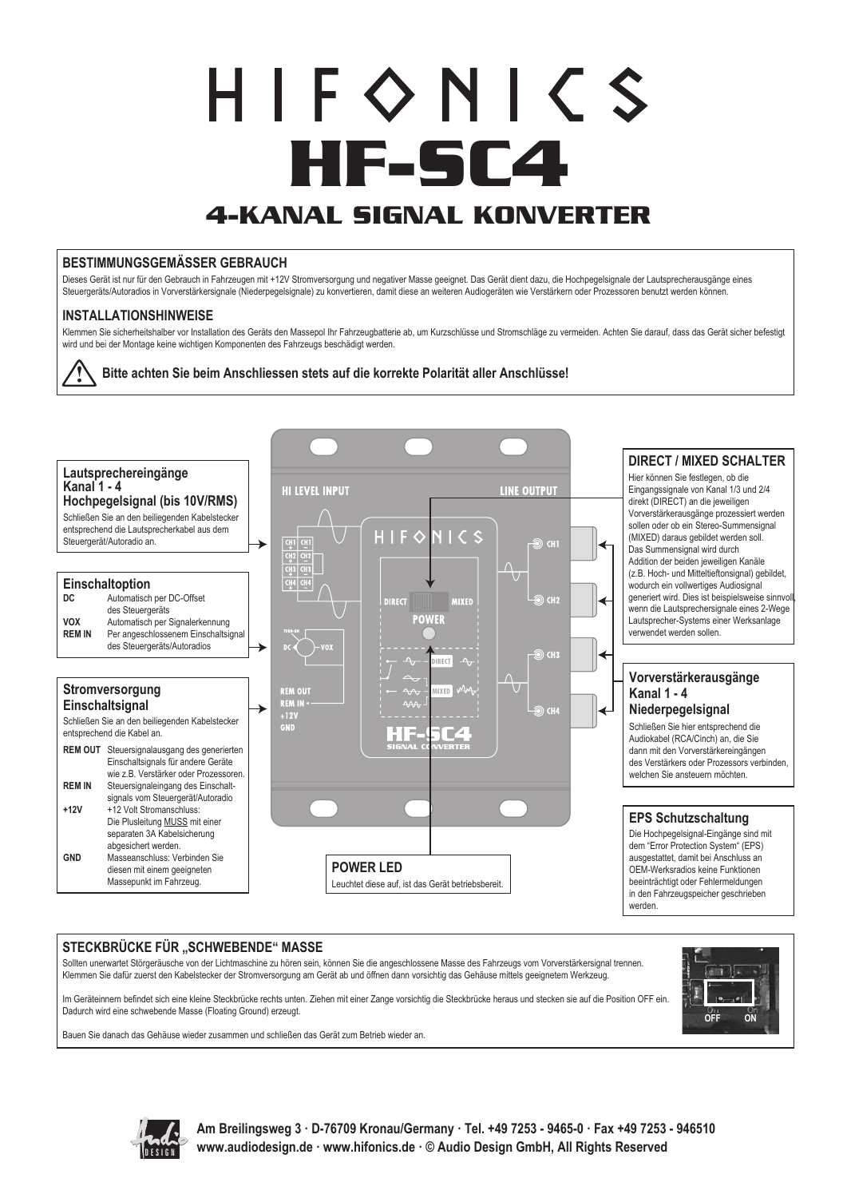# $H$  | F  $\diamond$  N |  $\zeta$  S **HF-SC4 4-KANAL SIGNAL KONVERTER**

### **BESTIMMUNGSGEMÄSSER GEBRAUCH**

Dieses Gerät ist nur für den Gebrauch in Fahrzeugen mit +12V Stromversorgung und negativer Masse geeignet. Das Gerät dient dazu, die Hochpegelsignale der Lautsprecherausgänge eines Steuergeräts/Autoradios in Vorverstärkersignale (Niederpegelsignale) zu konvertieren, damit diese an weiteren Audiogeräten wie Verstärkern oder Prozessoren benutzt werden können.

## **INSTALLATIONSHINWEISE**

Klemmen Sie sicherheitshalber vor Installation des Geräts den Massepol Ihr Fahrzeugbatterie ab, um Kurzschlüsse und Stromschläge zu vermeiden. Achten Sie darauf, dass das Gerät sicher befestigt wird und bei der Montage keine wichtigen Komponenten des Fahrzeugs beschädigt werden.





## STECKBRÜCKE FÜR "SCHWEBENDE" MASSE

Sollten unerwartet Störgeräusche von der Lichtmaschine zu hören sein, können Sie die angeschlossene Masse des Fahrzeugs vom Vorverstärkersignal trennen. Klemmen Sie dafür zuerst den Kabelstecker der Stromversorgung am Gerät ab und öffnen dann vorsichtig das Gehäuse mittels geeignetem Werkzeug.

Im Geräteinnern befindet sich eine kleine Steckbrücke rechts unten. Ziehen mit einer Zange vorsichtig die Steckbrücke heraus und stecken sie auf die Position OFF ein. Dadurch wird eine schwebende Masse (Floating Ground) erzeugt.

Bauen Sie danach das Gehäuse wieder zusammen und schließen das Gerät zum Betrieb wieder an.